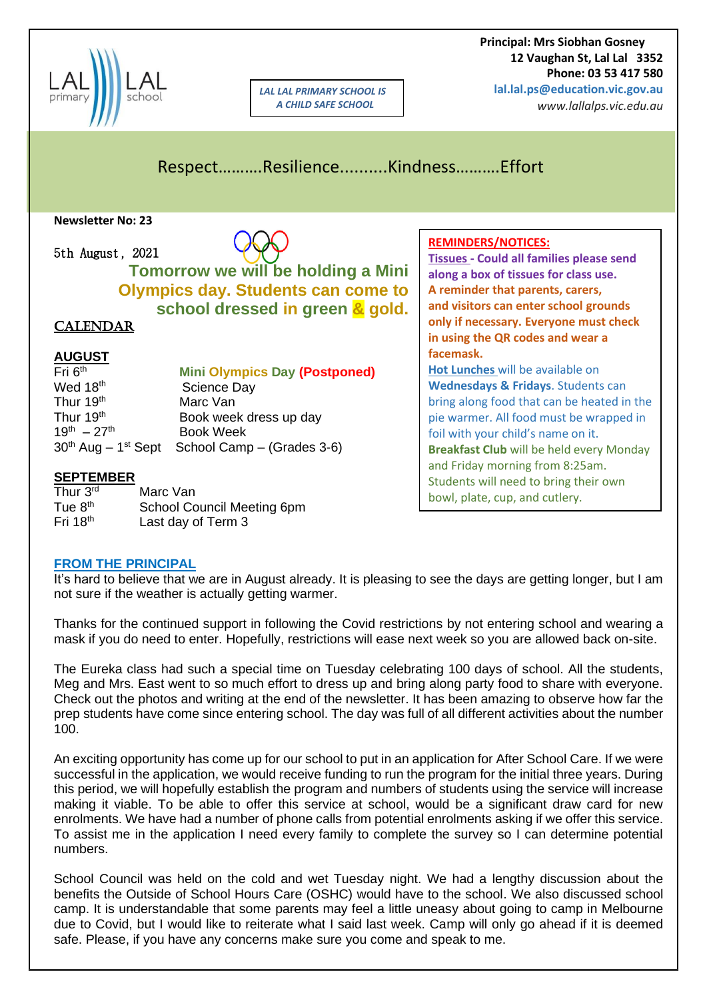

*LAL LAL PRIMARY SCHOOL IS A CHILD SAFE SCHOOL*

 **Principal: Mrs Siobhan Gosney 12 Vaughan St, Lal Lal 3352 Phone: 03 53 417 580 lal.lal.ps@education.vic.gov.au**

*www.lallalps.vic.edu.au* 

# Respect……….Resilience..........Kindness……….Effort

**Newsletter No: 23**

5th August, 2021

**Tomorrow we will be holding a Mini Olympics day. Students can come to school dressed in green & gold.**

#### **CALENDAR**

#### **AUGUST**

| Fri $6th$             | <b>Mini Olympics Day (Postponed)</b>                         |
|-----------------------|--------------------------------------------------------------|
| Wed 18th              | <b>Science Day</b>                                           |
| Thur 19th             | Marc Van                                                     |
| Thur 19 <sup>th</sup> | Book week dress up day                                       |
| $19^{th} - 27^{th}$   | <b>Book Week</b>                                             |
|                       | $30th$ Aug – 1 <sup>st</sup> Sept School Camp – (Grades 3-6) |

#### **SEPTEMBER**

| Thur 3rd   | Marc Van                   |
|------------|----------------------------|
| Tue $8th$  | School Council Meeting 6pm |
| Fri $18th$ | Last day of Term 3         |

#### **REMINDERS/NOTICES:**

**Tissues - Could all families please send along a box of tissues for class use. A reminder that parents, carers, and visitors can enter school grounds only if necessary. Everyone must check in using the QR codes and wear a facemask. Hot Lunches** will be available on **Wednesdays & Fridays**. Students can

bring along food that can be heated in the pie warmer. All food must be wrapped in foil with your child's name on it. **Breakfast Club** will be held every Monday and Friday morning from 8:25am. Students will need to bring their own bowl, plate, cup, and cutlery.

#### **FROM THE PRINCIPAL**

It's hard to believe that we are in August already. It is pleasing to see the days are getting longer, but I am not sure if the weather is actually getting warmer.

Thanks for the continued support in following the Covid restrictions by not entering school and wearing a mask if you do need to enter. Hopefully, restrictions will ease next week so you are allowed back on-site.

The Eureka class had such a special time on Tuesday celebrating 100 days of school. All the students, Meg and Mrs. East went to so much effort to dress up and bring along party food to share with everyone. Check out the photos and writing at the end of the newsletter. It has been amazing to observe how far the prep students have come since entering school. The day was full of all different activities about the number 100.

An exciting opportunity has come up for our school to put in an application for After School Care. If we were successful in the application, we would receive funding to run the program for the initial three years. During this period, we will hopefully establish the program and numbers of students using the service will increase making it viable. To be able to offer this service at school, would be a significant draw card for new enrolments. We have had a number of phone calls from potential enrolments asking if we offer this service. To assist me in the application I need every family to complete the survey so I can determine potential numbers.

School Council was held on the cold and wet Tuesday night. We had a lengthy discussion about the benefits the Outside of School Hours Care (OSHC) would have to the school. We also discussed school camp. It is understandable that some parents may feel a little uneasy about going to camp in Melbourne due to Covid, but I would like to reiterate what I said last week. Camp will only go ahead if it is deemed safe. Please, if you have any concerns make sure you come and speak to me.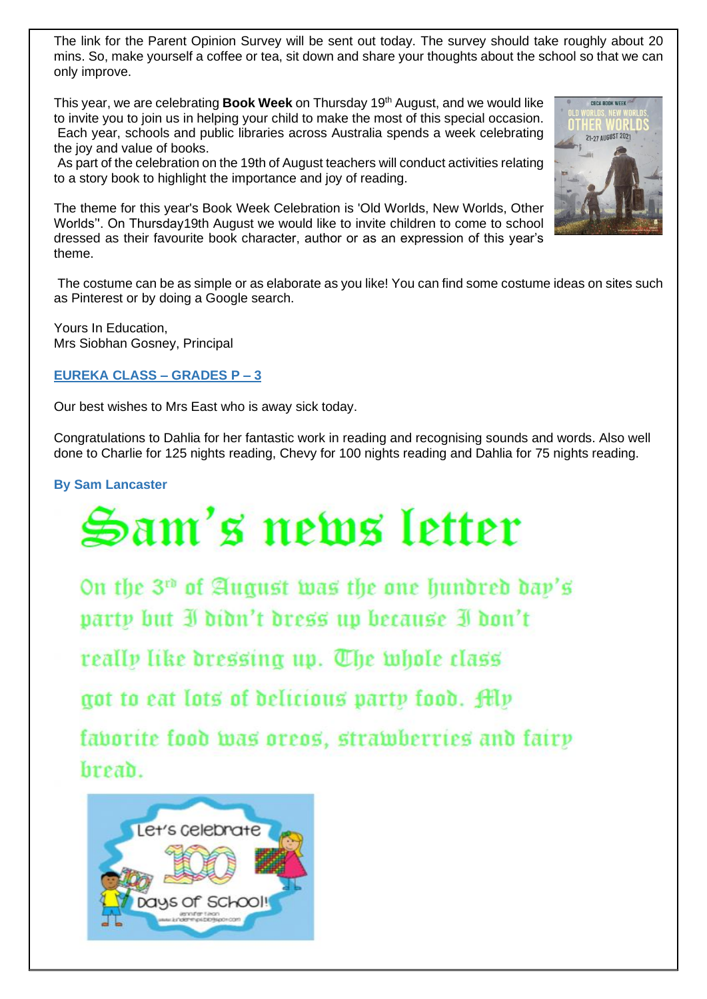The link for the Parent Opinion Survey will be sent out today. The survey should take roughly about 20 mins. So, make yourself a coffee or tea, sit down and share your thoughts about the school so that we can only improve.

This year, we are celebrating **Book Week** on Thursday 19<sup>th</sup> August, and we would like to invite you to join us in helping your child to make the most of this special occasion. Each year, schools and public libraries across Australia spends a week celebrating the joy and value of books.

As part of the celebration on the 19th of August teachers will conduct activities relating to a story book to highlight the importance and joy of reading.



The theme for this year's Book Week Celebration is 'Old Worlds, New Worlds, Other Worlds''. On Thursday19th August we would like to invite children to come to school dressed as their favourite book character, author or as an expression of this year's theme.

The costume can be as simple or as elaborate as you like! You can find some costume ideas on sites such as Pinterest or by doing a Google search.

Yours In Education, Mrs Siobhan Gosney, Principal

#### **EUREKA CLASS – GRADES P – 3**

Our best wishes to Mrs East who is away sick today.

Congratulations to Dahlia for her fantastic work in reading and recognising sounds and words. Also well done to Charlie for 125 nights reading, Chevy for 100 nights reading and Dahlia for 75 nights reading.

**By Sam Lancaster**

# Sam's news letter

On the 3<sup>th</sup> of August was the one hundred day's party but I didn't dress up because I don't

really like dressing up. The whole class

got to eat lots of delicious party food. Alv

faborite food was oreos, strawberries and fairy breab.

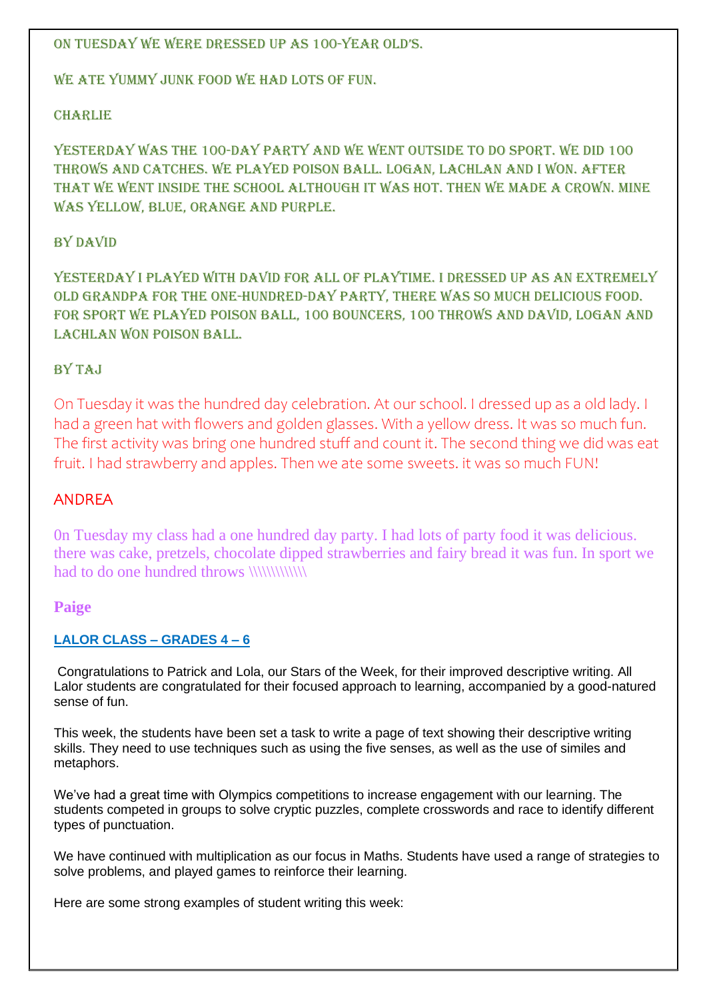#### On Tuesday we were dressed up as 100-year old's.

WE ATE YUMMY JUNK FOOD WE HAD LOTS OF FUN.

#### CHARLIE

YESTERDAY WAS THE 100-DAY PARTY AND WE WENT OUTSIDE TO DO SPORT. WE DID 100 throws and catches. We played poison ball. Logan, Lachlan and I won. After that we went inside the school although it was hot. Then we made a crown. Mine was yellow, blue, orange and purple.

#### By David

Yesterday I played with David for all of playtime. I dressed up as an extremely old grandpa for the one-hundred-day party, there was so much delicious food. For sport we played poison ball, 100 bouncers, 100 throws and David, Logan and LACHLAN WON POISON BALL.

#### **BY TAJ**

On Tuesday it was the hundred day celebration. At our school. I dressed up as a old lady. I had a green hat with flowers and golden glasses. With a yellow dress. It was so much fun. The first activity was bring one hundred stuff and count it. The second thing we did was eat fruit. I had strawberry and apples. Then we ate some sweets. it was so much FUN!

### ANDREA

0n Tuesday my class had a one hundred day party. I had lots of party food it was delicious. there was cake, pretzels, chocolate dipped strawberries and fairy bread it was fun. In sport we had to do one hundred throws \\\\\\\\\\\\\

#### **Paige**

#### **LALOR CLASS – GRADES 4 – 6**

Congratulations to Patrick and Lola, our Stars of the Week, for their improved descriptive writing. All Lalor students are congratulated for their focused approach to learning, accompanied by a good-natured sense of fun.

This week, the students have been set a task to write a page of text showing their descriptive writing skills. They need to use techniques such as using the five senses, as well as the use of similes and metaphors.

We've had a great time with Olympics competitions to increase engagement with our learning. The students competed in groups to solve cryptic puzzles, complete crosswords and race to identify different types of punctuation.

We have continued with multiplication as our focus in Maths. Students have used a range of strategies to solve problems, and played games to reinforce their learning.

Here are some strong examples of student writing this week: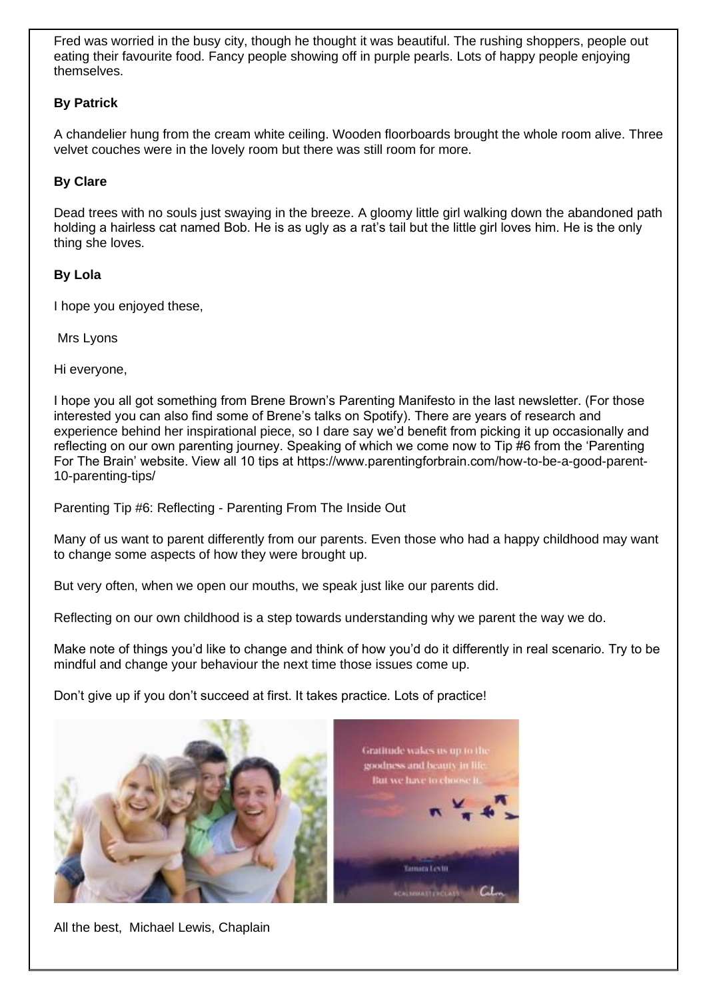Fred was worried in the busy city, though he thought it was beautiful. The rushing shoppers, people out eating their favourite food. Fancy people showing off in purple pearls. Lots of happy people enjoying themselves.

#### **By Patrick**

A chandelier hung from the cream white ceiling. Wooden floorboards brought the whole room alive. Three velvet couches were in the lovely room but there was still room for more.

#### **By Clare**

Dead trees with no souls just swaying in the breeze. A gloomy little girl walking down the abandoned path holding a hairless cat named Bob. He is as ugly as a rat's tail but the little girl loves him. He is the only thing she loves.

#### **By Lola**

I hope you enjoyed these,

Mrs Lyons

Hi everyone,

I hope you all got something from Brene Brown's Parenting Manifesto in the last newsletter. (For those interested you can also find some of Brene's talks on Spotify). There are years of research and experience behind her inspirational piece, so I dare say we'd benefit from picking it up occasionally and reflecting on our own parenting journey. Speaking of which we come now to Tip #6 from the 'Parenting For The Brain' website. View all 10 tips at https://www.parentingforbrain.com/how-to-be-a-good-parent-10-parenting-tips/

Parenting Tip #6: Reflecting - Parenting From The Inside Out

Many of us want to parent differently from our parents. Even those who had a happy childhood may want to change some aspects of how they were brought up.

But very often, when we open our mouths, we speak just like our parents did.

Reflecting on our own childhood is a step towards understanding why we parent the way we do.

Make note of things you'd like to change and think of how you'd do it differently in real scenario. Try to be mindful and change your behaviour the next time those issues come up.

Don't give up if you don't succeed at first. It takes practice. Lots of practice!



All the best, Michael Lewis, Chaplain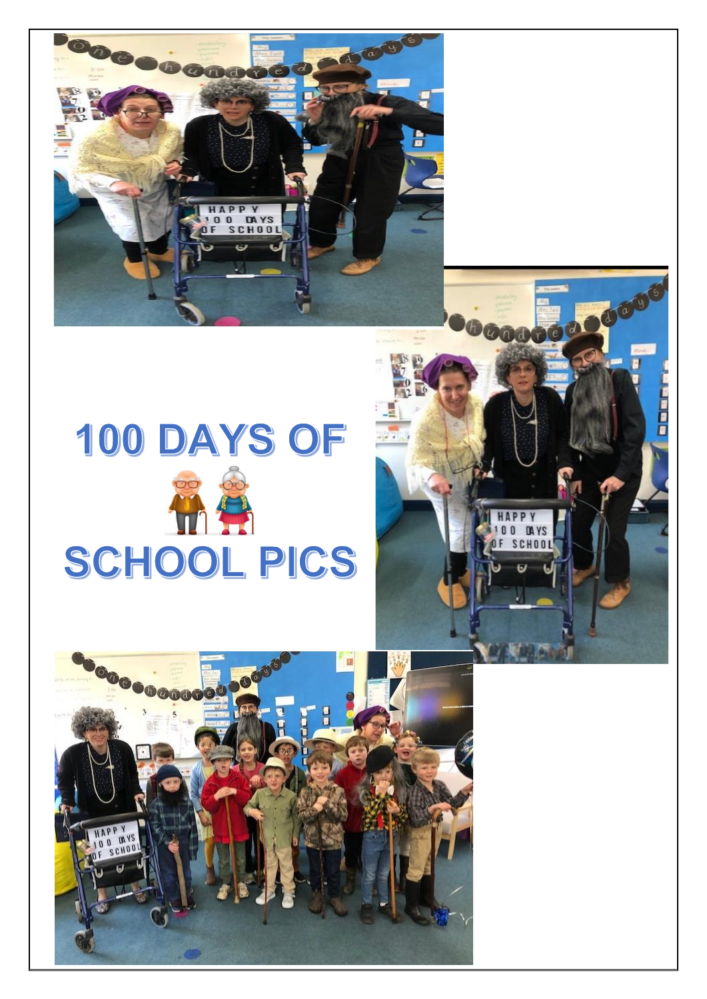

COUG

i<br>B

Occoco

**APPY** O DAYS<br>SCHOOL  $\mathbf{0}$ 

# 100 DAYS OF HA SCHOOL PICS